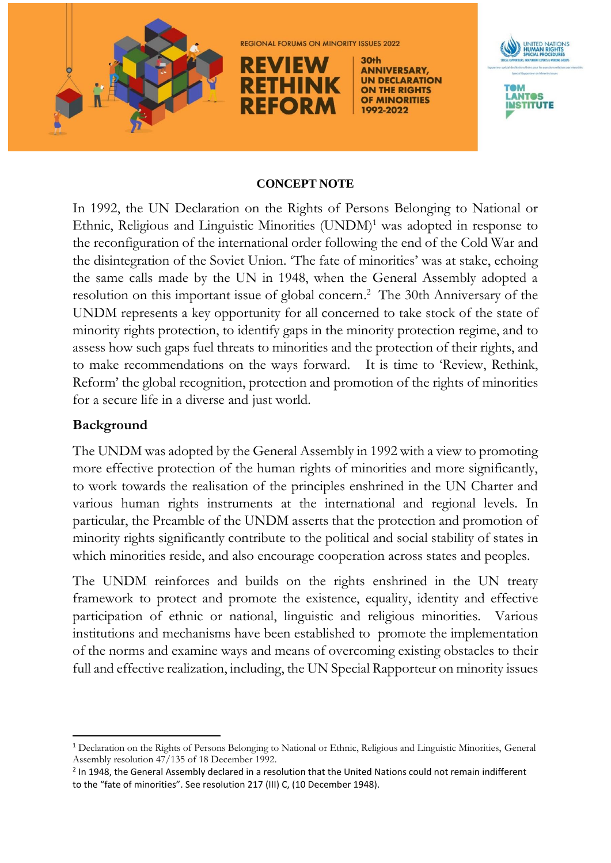

**REGIONAL FORUMS ON MINORITY ISSUES 2022** 



30th **ANNIVERSARY, UN DECLARATION ON THE RIGHTS OF MINORITIES** 1992-2022



#### **CONCEPT NOTE**

In 1992, the UN Declaration on the Rights of Persons Belonging to National or Ethnic, Religious and Linguistic Minorities  $(UNDM)<sup>1</sup>$  was adopted in response to the reconfiguration of the international order following the end of the Cold War and the disintegration of the Soviet Union. 'The fate of minorities' was at stake, echoing the same calls made by the UN in 1948, when the General Assembly adopted a resolution on this important issue of global concern. 2 The 30th Anniversary of the UNDM represents a key opportunity for all concerned to take stock of the state of minority rights protection, to identify gaps in the minority protection regime, and to assess how such gaps fuel threats to minorities and the protection of their rights, and to make recommendations on the ways forward. It is time to 'Review, Rethink, Reform' the global recognition, protection and promotion of the rights of minorities for a secure life in a diverse and just world.

#### **Background**

**.** 

The UNDM was adopted by the General Assembly in 1992 with a view to promoting more effective protection of the human rights of minorities and more significantly, to work towards the realisation of the principles enshrined in the UN Charter and various human rights instruments at the international and regional levels. In particular, the Preamble of the UNDM asserts that the protection and promotion of minority rights significantly contribute to the political and social stability of states in which minorities reside, and also encourage cooperation across states and peoples.

The UNDM reinforces and builds on the rights enshrined in the UN treaty framework to protect and promote the existence, equality, identity and effective participation of ethnic or national, linguistic and religious minorities. Various institutions and mechanisms have been established to promote the implementation of the norms and examine ways and means of overcoming existing obstacles to their full and effective realization, including, the UN Special Rapporteur on minority issues

<sup>1</sup> Declaration on the Rights of Persons Belonging to National or Ethnic, Religious and Linguistic Minorities, General Assembly resolution 47/135 of 18 December 1992.

 $2$  In 1948, the General Assembly declared in a resolution that the United Nations could not remain indifferent to the "fate of minorities". See resolution 217 (III) C, (10 December 1948).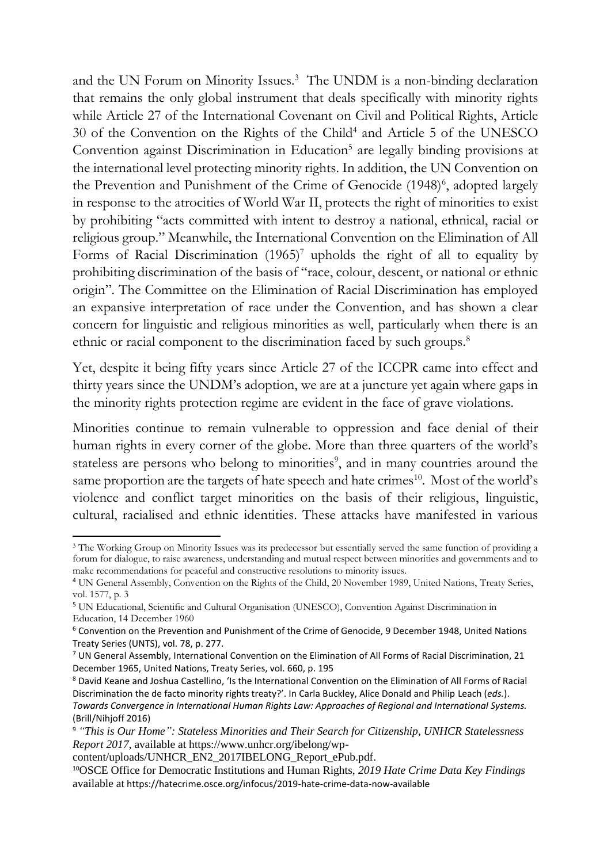and the UN Forum on Minority Issues.<sup>3</sup> The UNDM is a non-binding declaration that remains the only global instrument that deals specifically with minority rights while Article 27 of the International Covenant on Civil and Political Rights, Article 30 of the Convention on the Rights of the Child<sup>4</sup> and Article 5 of the UNESCO Convention against Discrimination in Education<sup>5</sup> are legally binding provisions at the international level protecting minority rights. In addition, the UN Convention on the Prevention and Punishment of the Crime of Genocide (1948)<sup>6</sup>, adopted largely in response to the atrocities of World War II, protects the right of minorities to exist by prohibiting "acts committed with intent to destroy a national, ethnical, racial or religious group." Meanwhile, the International Convention on the Elimination of All Forms of Racial Discrimination (1965) <sup>7</sup> upholds the right of all to equality by prohibiting discrimination of the basis of "race, colour, descent, or national or ethnic origin". The Committee on the Elimination of Racial Discrimination has employed an expansive interpretation of race under the Convention, and has shown a clear concern for linguistic and religious minorities as well, particularly when there is an ethnic or racial component to the discrimination faced by such groups.<sup>8</sup>

Yet, despite it being fifty years since Article 27 of the ICCPR came into effect and thirty years since the UNDM's adoption, we are at a juncture yet again where gaps in the minority rights protection regime are evident in the face of grave violations.

Minorities continue to remain vulnerable to oppression and face denial of their human rights in every corner of the globe. More than three quarters of the world's stateless are persons who belong to minorities<sup>9</sup>, and in many countries around the same proportion are the targets of hate speech and hate crimes<sup>10</sup>. Most of the world's violence and conflict target minorities on the basis of their religious, linguistic, cultural, racialised and ethnic identities. These attacks have manifested in various

**<sup>.</sup>** <sup>3</sup> The Working Group on Minority Issues was its predecessor but essentially served the same function of providing a forum for dialogue, to raise awareness, understanding and mutual respect between minorities and governments and to make recommendations for peaceful and constructive resolutions to minority issues.

<sup>4</sup> UN General Assembly, Convention on the Rights of the Child, 20 November 1989, United Nations, Treaty Series, vol. 1577, p. 3

<sup>5</sup> UN Educational, Scientific and Cultural Organisation (UNESCO), Convention Against Discrimination in Education, 14 December 1960

<sup>6</sup> Convention on the Prevention and Punishment of the Crime of Genocide, 9 December 1948, United Nations Treaty Series (UNTS), vol. 78, p. 277.

 $7$  UN General Assembly, International Convention on the Elimination of All Forms of Racial Discrimination, 21 December 1965, United Nations, Treaty Series, vol. 660, p. 195

<sup>8</sup> David Keane and Joshua Castellino, 'Is the International Convention on the Elimination of All Forms of Racial Discrimination the de facto minority rights treaty?'. In Carla Buckley, Alice Donald and Philip Leach (*eds.*). *Towards Convergence in International Human Rights Law: Approaches of Regional and International Systems.*  (Brill/Nihjoff 2016)

<sup>9</sup> *"This is Our Home": Stateless Minorities and Their Search for Citizenship, UNHCR Statelessness Report 2017*, available at https://www.unhcr.org/ibelong/wp-

content/uploads/UNHCR\_EN2\_2017IBELONG\_Report\_ePub.pdf.

<sup>10</sup>OSCE Office for Democratic Institutions and Human Rights, *2019 Hate Crime Data Key Findings* available at https://hatecrime.osce.org/infocus/2019-hate-crime-data-now-available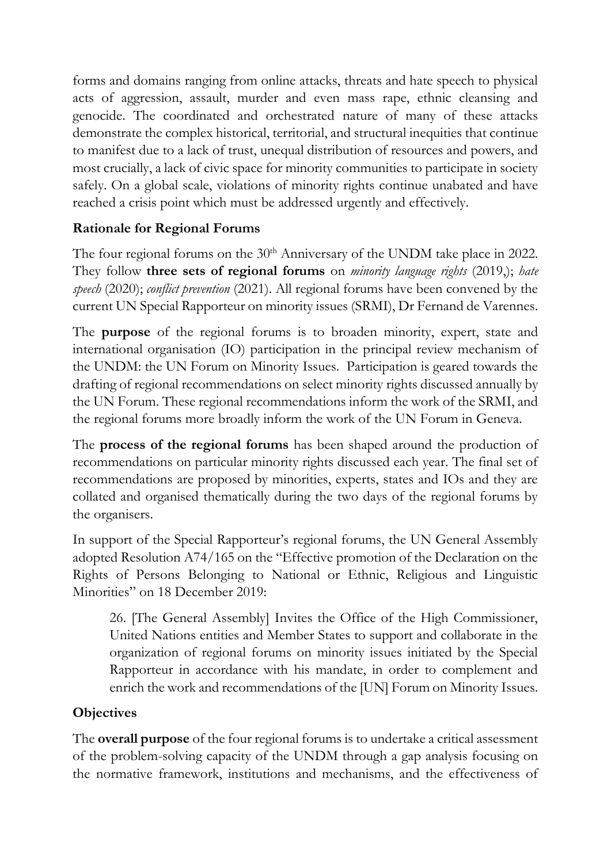forms and domains ranging from online attacks, threats and hate speech to physical acts of aggression, assault, murder and even mass rape, ethnic cleansing and genocide. The coordinated and orchestrated nature of many of these attacks demonstrate the complex historical, territorial, and structural inequities that continue to manifest due to a lack of trust, unequal distribution of resources and powers, and most crucially, a lack of civic space for minority communities to participate in society safely. On a global scale, violations of minority rights continue unabated and have reached a crisis point which must be addressed urgently and effectively.

## **Rationale for Regional Forums**

The four regional forums on the 30<sup>th</sup> Anniversary of the UNDM take place in 2022. They follow **three sets of regional forums** on *minority language rights* (2019,); *hate speech* (2020); *conflict prevention* (2021). All regional forums have been convened by the current UN Special Rapporteur on minority issues (SRMI), Dr Fernand de Varennes.

The **purpose** of the regional forums is to broaden minority, expert, state and international organisation (IO) participation in the principal review mechanism of the UNDM: the UN Forum on Minority Issues. Participation is geared towards the drafting of regional recommendations on select minority rights discussed annually by the UN Forum. These regional recommendations inform the work of the SRMI, and the regional forums more broadly inform the work of the UN Forum in Geneva.

The **process of the regional forums** has been shaped around the production of recommendations on particular minority rights discussed each year. The final set of recommendations are proposed by minorities, experts, states and IOs and they are collated and organised thematically during the two days of the regional forums by the organisers.

In support of the Special Rapporteur's regional forums, the UN General Assembly adopted Resolution A74/165 on the "Effective promotion of the Declaration on the Rights of Persons Belonging to National or Ethnic, Religious and Linguistic Minorities" on 18 December 2019:

26. [The General Assembly] Invites the Office of the High Commissioner, United Nations entities and Member States to support and collaborate in the organization of regional forums on minority issues initiated by the Special Rapporteur in accordance with his mandate, in order to complement and enrich the work and recommendations of the [UN] Forum on Minority Issues.

## **Objectives**

The **overall purpose** of the four regional forums is to undertake a critical assessment of the problem-solving capacity of the UNDM through a gap analysis focusing on the normative framework, institutions and mechanisms, and the effectiveness of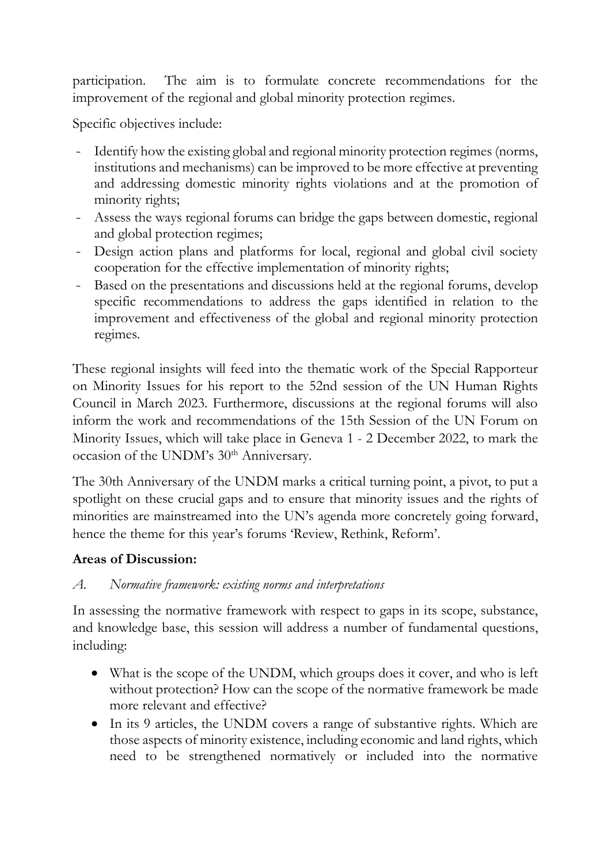participation. The aim is to formulate concrete recommendations for the improvement of the regional and global minority protection regimes.

Specific objectives include:

- Identify how the existing global and regional minority protection regimes (norms, institutions and mechanisms) can be improved to be more effective at preventing and addressing domestic minority rights violations and at the promotion of minority rights;
- Assess the ways regional forums can bridge the gaps between domestic, regional and global protection regimes;
- Design action plans and platforms for local, regional and global civil society cooperation for the effective implementation of minority rights;
- Based on the presentations and discussions held at the regional forums, develop specific recommendations to address the gaps identified in relation to the improvement and effectiveness of the global and regional minority protection regimes.

These regional insights will feed into the thematic work of the Special Rapporteur on Minority Issues for his report to the 52nd session of the UN Human Rights Council in March 2023. Furthermore, discussions at the regional forums will also inform the work and recommendations of the 15th Session of the UN Forum on Minority Issues, which will take place in Geneva 1 - 2 December 2022, to mark the occasion of the UNDM's 30<sup>th</sup> Anniversary.

The 30th Anniversary of the UNDM marks a critical turning point, a pivot, to put a spotlight on these crucial gaps and to ensure that minority issues and the rights of minorities are mainstreamed into the UN's agenda more concretely going forward, hence the theme for this year's forums 'Review, Rethink, Reform'.

## **Areas of Discussion:**

## *A. Normative framework: existing norms and interpretations*

In assessing the normative framework with respect to gaps in its scope, substance, and knowledge base, this session will address a number of fundamental questions, including:

- What is the scope of the UNDM, which groups does it cover, and who is left without protection? How can the scope of the normative framework be made more relevant and effective?
- In its 9 articles, the UNDM covers a range of substantive rights. Which are those aspects of minority existence, including economic and land rights, which need to be strengthened normatively or included into the normative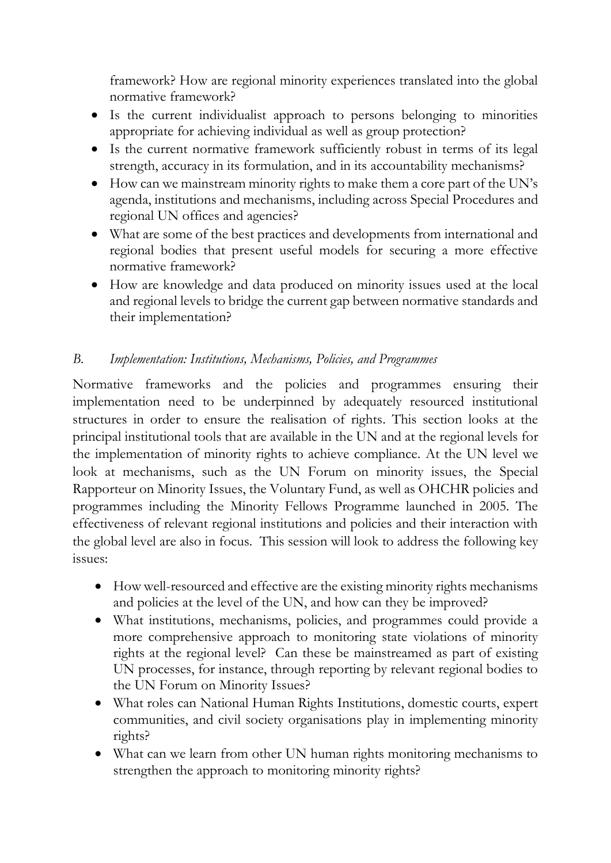framework? How are regional minority experiences translated into the global normative framework?

- Is the current individualist approach to persons belonging to minorities appropriate for achieving individual as well as group protection?
- Is the current normative framework sufficiently robust in terms of its legal strength, accuracy in its formulation, and in its accountability mechanisms?
- How can we mainstream minority rights to make them a core part of the UN's agenda, institutions and mechanisms, including across Special Procedures and regional UN offices and agencies?
- What are some of the best practices and developments from international and regional bodies that present useful models for securing a more effective normative framework?
- How are knowledge and data produced on minority issues used at the local and regional levels to bridge the current gap between normative standards and their implementation?

## *B. Implementation: Institutions, Mechanisms, Policies, and Programmes*

Normative frameworks and the policies and programmes ensuring their implementation need to be underpinned by adequately resourced institutional structures in order to ensure the realisation of rights. This section looks at the principal institutional tools that are available in the UN and at the regional levels for the implementation of minority rights to achieve compliance. At the UN level we look at mechanisms, such as the UN Forum on minority issues, the Special Rapporteur on Minority Issues, the Voluntary Fund, as well as OHCHR policies and programmes including the Minority Fellows Programme launched in 2005. The effectiveness of relevant regional institutions and policies and their interaction with the global level are also in focus. This session will look to address the following key issues:

- How well-resourced and effective are the existing minority rights mechanisms and policies at the level of the UN, and how can they be improved?
- What institutions, mechanisms, policies, and programmes could provide a more comprehensive approach to monitoring state violations of minority rights at the regional level? Can these be mainstreamed as part of existing UN processes, for instance, through reporting by relevant regional bodies to the UN Forum on Minority Issues?
- What roles can National Human Rights Institutions, domestic courts, expert communities, and civil society organisations play in implementing minority rights?
- What can we learn from other UN human rights monitoring mechanisms to strengthen the approach to monitoring minority rights?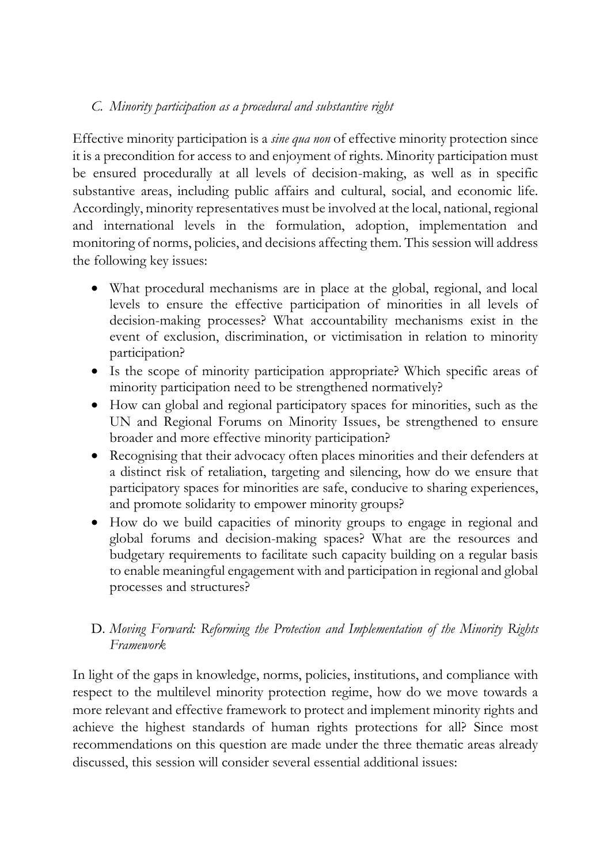#### *C. Minority participation as a procedural and substantive right*

Effective minority participation is a *sine qua non* of effective minority protection since it is a precondition for access to and enjoyment of rights. Minority participation must be ensured procedurally at all levels of decision-making, as well as in specific substantive areas, including public affairs and cultural, social, and economic life. Accordingly, minority representatives must be involved at the local, national, regional and international levels in the formulation, adoption, implementation and monitoring of norms, policies, and decisions affecting them. This session will address the following key issues:

- What procedural mechanisms are in place at the global, regional, and local levels to ensure the effective participation of minorities in all levels of decision-making processes? What accountability mechanisms exist in the event of exclusion, discrimination, or victimisation in relation to minority participation?
- Is the scope of minority participation appropriate? Which specific areas of minority participation need to be strengthened normatively?
- How can global and regional participatory spaces for minorities, such as the UN and Regional Forums on Minority Issues, be strengthened to ensure broader and more effective minority participation?
- Recognising that their advocacy often places minorities and their defenders at a distinct risk of retaliation, targeting and silencing, how do we ensure that participatory spaces for minorities are safe, conducive to sharing experiences, and promote solidarity to empower minority groups?
- How do we build capacities of minority groups to engage in regional and global forums and decision-making spaces? What are the resources and budgetary requirements to facilitate such capacity building on a regular basis to enable meaningful engagement with and participation in regional and global processes and structures?

## D. *Moving Forward: Reforming the Protection and Implementation of the Minority Rights Framework*

In light of the gaps in knowledge, norms, policies, institutions, and compliance with respect to the multilevel minority protection regime, how do we move towards a more relevant and effective framework to protect and implement minority rights and achieve the highest standards of human rights protections for all? Since most recommendations on this question are made under the three thematic areas already discussed, this session will consider several essential additional issues: